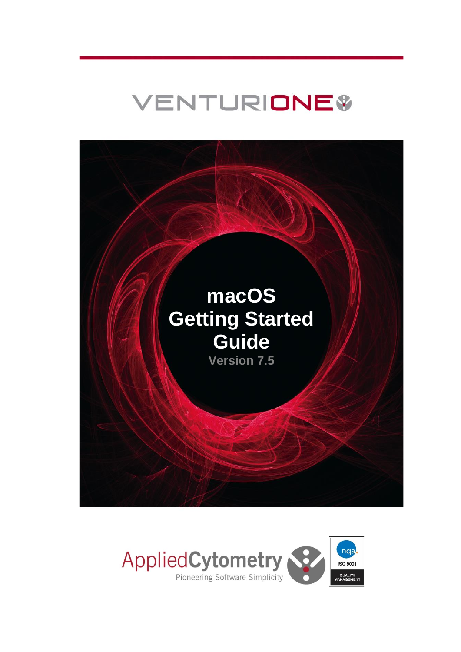# VENTURIONE\$



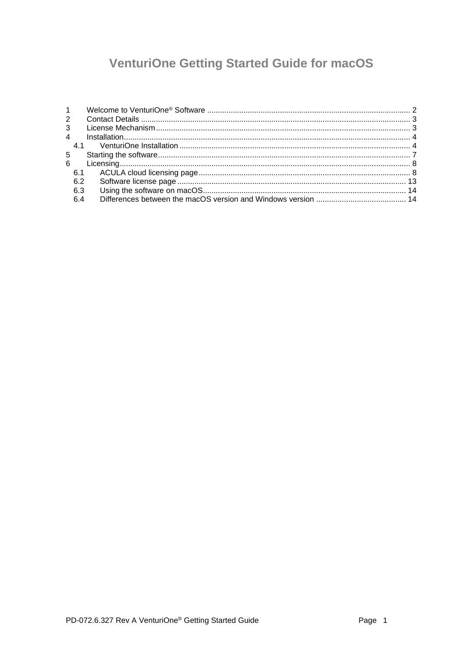## **VenturiOne Getting Started Guide for macOS**

| $1 \quad \blacksquare$ |  |
|------------------------|--|
| $2^{\circ}$            |  |
|                        |  |
|                        |  |
|                        |  |
| $5 -$                  |  |
|                        |  |
|                        |  |
| 6.2                    |  |
| 6.3                    |  |
| 6.4                    |  |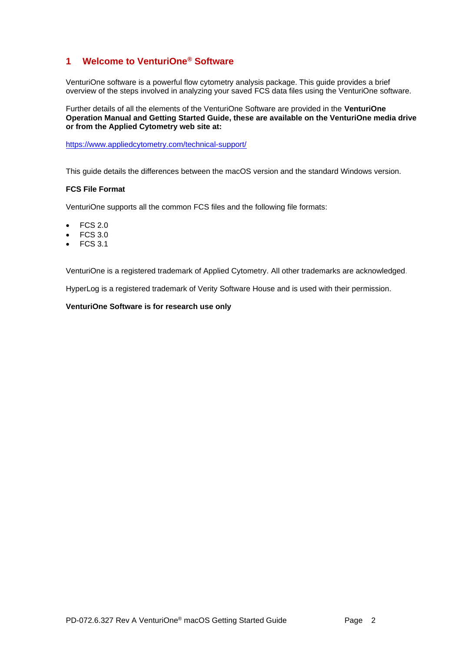## <span id="page-2-0"></span>**1 Welcome to VenturiOne® Software**

VenturiOne software is a powerful flow cytometry analysis package. This guide provides a brief overview of the steps involved in analyzing your saved FCS data files using the VenturiOne software.

Further details of all the elements of the VenturiOne Software are provided in the **VenturiOne Operation Manual and Getting Started Guide, these are available on the VenturiOne media drive or from the Applied Cytometry web site at:**

<https://www.appliedcytometry.com/technical-support/>

This guide details the differences between the macOS version and the standard Windows version.

#### **FCS File Format**

VenturiOne supports all the common FCS files and the following file formats:

- FCS 2.0
- FCS 3.0
- FCS 3.1

VenturiOne is a registered trademark of Applied Cytometry. All other trademarks are acknowledged.

HyperLog is a registered trademark of Verity Software House and is used with their permission.

#### **VenturiOne Software is for research use only**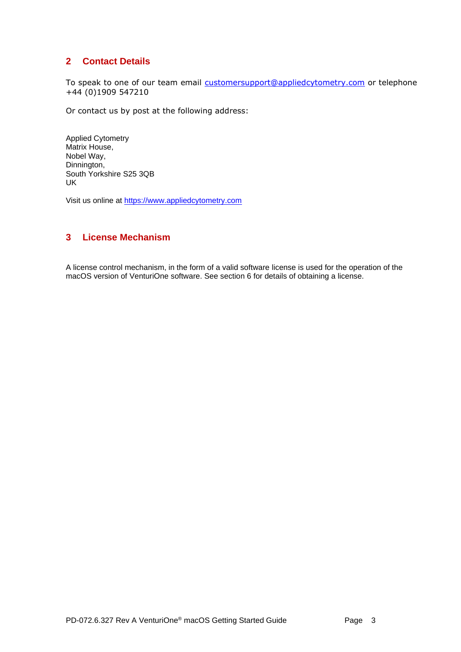## <span id="page-3-0"></span>**2 Contact Details**

To speak to one of our team email [customersupport@appliedcytometry.com](mailto:customersupport@appliedcytometry.com) or telephone +44 (0)1909 547210

Or contact us by post at the following address:

Applied Cytometry Matrix House, Nobel Way, Dinnington, South Yorkshire S25 3QB UK

Visit us online at [https://www.appliedcytometry.com](https://www.appliedcytometry.com/)

## <span id="page-3-1"></span>**3 License Mechanism**

A license control mechanism, in the form of a valid software license is used for the operation of the macOS version of VenturiOne software. See section [6](#page-8-0) for details of obtaining a license.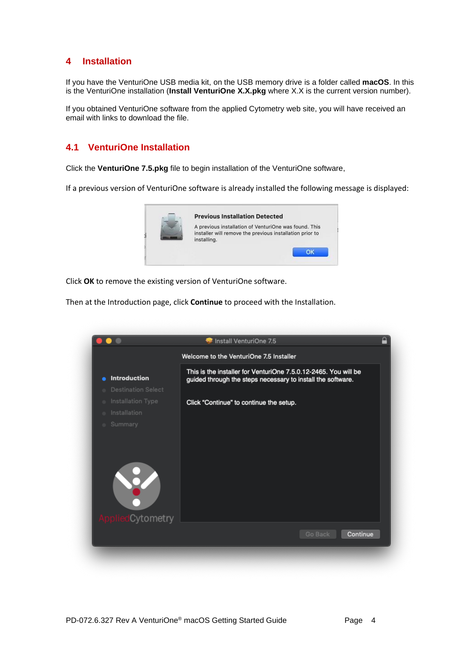## <span id="page-4-0"></span>**4 Installation**

If you have the VenturiOne USB media kit, on the USB memory drive is a folder called **macOS**. In this is the VenturiOne installation (**Install VenturiOne X.X.pkg** where X.X is the current version number).

If you obtained VenturiOne software from the applied Cytometry web site, you will have received an email with links to download the file.

## <span id="page-4-1"></span>**4.1 VenturiOne Installation**

Click the **VenturiOne 7.5.pkg** file to begin installation of the VenturiOne software,

If a previous version of VenturiOne software is already installed the following message is displayed:



Click **OK** to remove the existing version of VenturiOne software.

Then at the Introduction page, click **Continue** to proceed with the Installation.

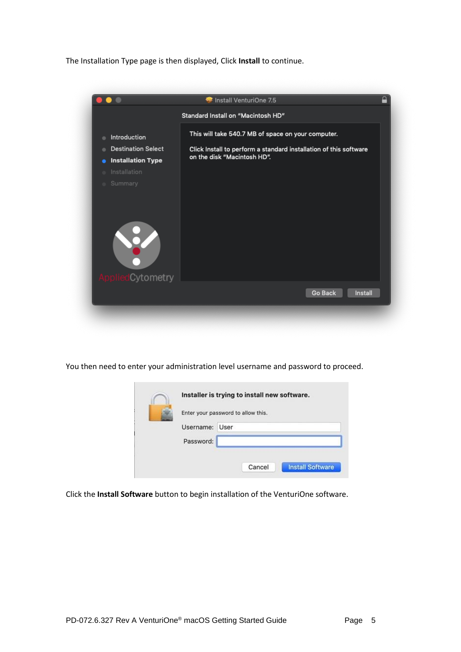The Installation Type page is then displayed, Click **Install** to continue.



You then need to enter your administration level username and password to proceed.

| Enter your password to allow this. |      |  |
|------------------------------------|------|--|
| Username:                          | User |  |
| Password:                          |      |  |
|                                    |      |  |

Click the **Install Software** button to begin installation of the VenturiOne software.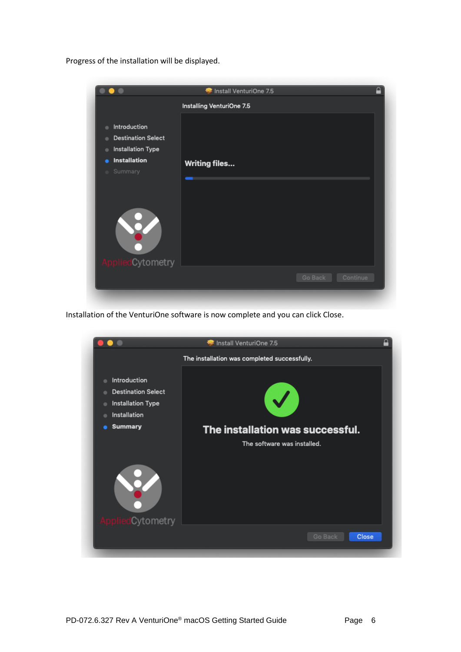Progress of the installation will be displayed.



Installation of the VenturiOne software is now complete and you can click Close.

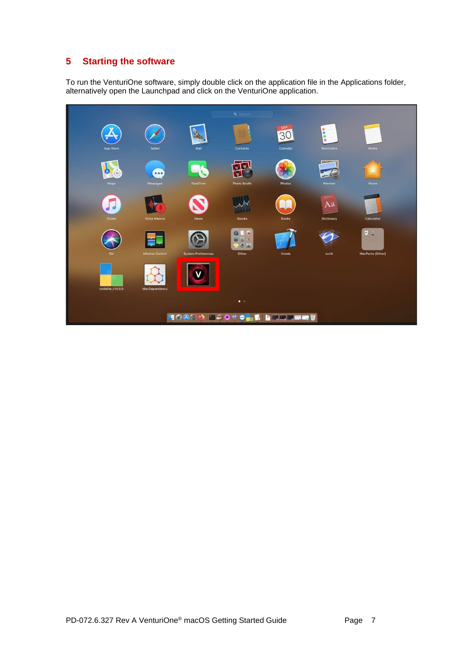## <span id="page-7-0"></span>**5 Starting the software**

To run the VenturiOne software, simply double click on the application file in the Applications folder, alternatively open the Launchpad and click on the VenturiOne application.

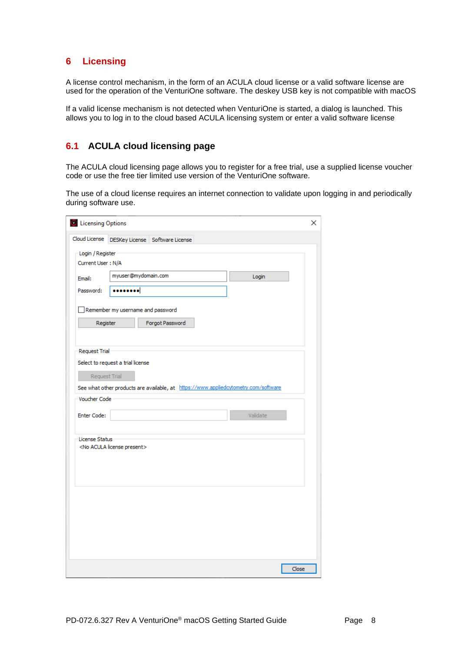## <span id="page-8-0"></span>**6 Licensing**

A license control mechanism, in the form of an ACULA cloud license or a valid software license are used for the operation of the VenturiOne software. The deskey USB key is not compatible with macOS

If a valid license mechanism is not detected when VenturiOne is started, a dialog is launched. This allows you to log in to the cloud based ACULA licensing system or enter a valid software license

## <span id="page-8-1"></span>**6.1 ACULA cloud licensing page**

The ACULA cloud licensing page allows you to register for a free trial, use a supplied license voucher code or use the free tier limited use version of the VenturiOne software.

The use of a cloud license requires an internet connection to validate upon logging in and periodically during software use.

| Cloud License        |                                          |                                                                                     |          |  |
|----------------------|------------------------------------------|-------------------------------------------------------------------------------------|----------|--|
|                      |                                          | DESKey License Software License                                                     |          |  |
| Login / Register     |                                          |                                                                                     |          |  |
| Current User: N/A    |                                          |                                                                                     |          |  |
| Email:               | myuser@mydomain.com                      |                                                                                     | Login    |  |
| Password:            |                                          |                                                                                     |          |  |
|                      | Remember my username and password        |                                                                                     |          |  |
|                      |                                          |                                                                                     |          |  |
| Register             |                                          | Forgot Password                                                                     |          |  |
|                      |                                          |                                                                                     |          |  |
| <b>Request Trial</b> |                                          |                                                                                     |          |  |
|                      | Select to request a trial license        |                                                                                     |          |  |
|                      |                                          |                                                                                     |          |  |
| Request Trial        |                                          |                                                                                     |          |  |
|                      |                                          | See what other products are available, at https://www.appliedcytometry.com/software |          |  |
| Voucher Code         |                                          |                                                                                     |          |  |
|                      |                                          |                                                                                     |          |  |
| Enter Code:          |                                          |                                                                                     | Validate |  |
|                      |                                          |                                                                                     |          |  |
| License Status       | <no acula="" license="" present=""></no> |                                                                                     |          |  |
|                      |                                          |                                                                                     |          |  |
|                      |                                          |                                                                                     |          |  |
|                      |                                          |                                                                                     |          |  |
|                      |                                          |                                                                                     |          |  |
|                      |                                          |                                                                                     |          |  |
|                      |                                          |                                                                                     |          |  |
|                      |                                          |                                                                                     |          |  |
|                      |                                          |                                                                                     |          |  |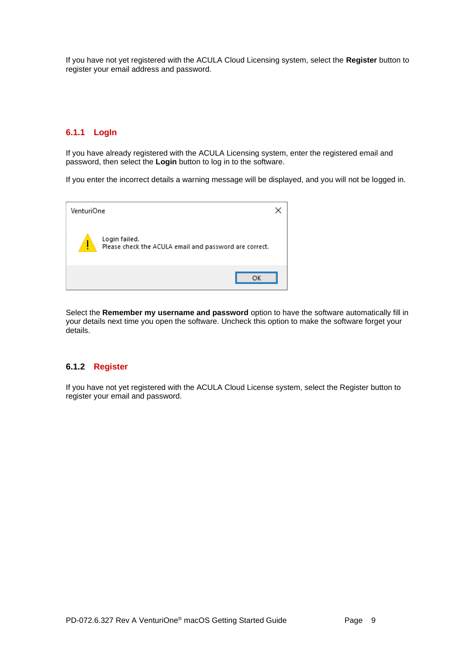If you have not yet registered with the ACULA Cloud Licensing system, select the **Register** button to register your email address and password.

#### **6.1.1 LogIn**

If you have already registered with the ACULA Licensing system, enter the registered email and password, then select the **Login** button to log in to the software.

If you enter the incorrect details a warning message will be displayed, and you will not be logged in.



Select the **Remember my username and password** option to have the software automatically fill in your details next time you open the software. Uncheck this option to make the software forget your details.

#### **6.1.2 Register**

If you have not yet registered with the ACULA Cloud License system, select the Register button to register your email and password.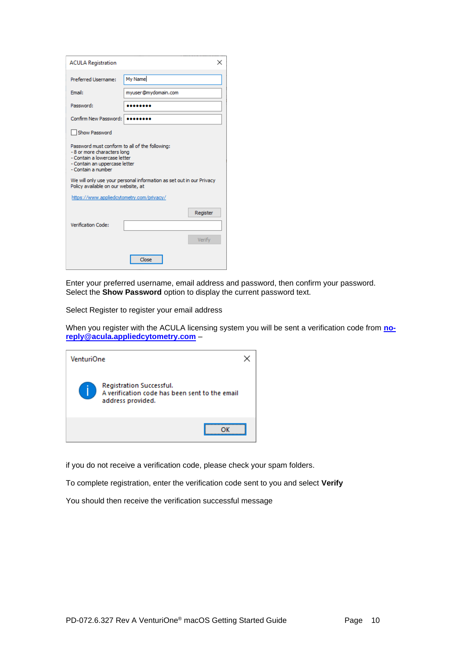| <b>ACULA Registration</b>                                                                                                                                                                                   |                                                                      | × |  |  |  |  |
|-------------------------------------------------------------------------------------------------------------------------------------------------------------------------------------------------------------|----------------------------------------------------------------------|---|--|--|--|--|
| Preferred Username:                                                                                                                                                                                         | My Name                                                              |   |  |  |  |  |
| Email:                                                                                                                                                                                                      | myuser@mydomain.com                                                  |   |  |  |  |  |
| Password:                                                                                                                                                                                                   |                                                                      |   |  |  |  |  |
| Confirm New Password:                                                                                                                                                                                       |                                                                      |   |  |  |  |  |
| Show Password                                                                                                                                                                                               |                                                                      |   |  |  |  |  |
| Password must conform to all of the following:<br>- 8 or more characters long<br>- Contain a lowercase letter<br>- Contain an uppercase letter<br>- Contain a number<br>Policy available on our website, at | We will only use your personal information as set out in our Privacy |   |  |  |  |  |
| https://www.appliedcytometry.com/privacy/                                                                                                                                                                   |                                                                      |   |  |  |  |  |
| Verification Code:                                                                                                                                                                                          | Register<br>Verify                                                   |   |  |  |  |  |
|                                                                                                                                                                                                             | Close                                                                |   |  |  |  |  |

Enter your preferred username, email address and password, then confirm your password. Select the **Show Password** option to display the current password text.

Select Register to register your email address

When you register with the ACULA licensing system you will be sent a verification code from **[no](mailto:no-reply@acula.appliedcytometry.com)[reply@acula.appliedcytometry.com](mailto:no-reply@acula.appliedcytometry.com)** –

| VenturiOne |                                                                                                 |  |
|------------|-------------------------------------------------------------------------------------------------|--|
|            | Registration Successful.<br>A verification code has been sent to the email<br>address provided. |  |
|            |                                                                                                 |  |

if you do not receive a verification code, please check your spam folders.

To complete registration, enter the verification code sent to you and select **Verify**

You should then receive the verification successful message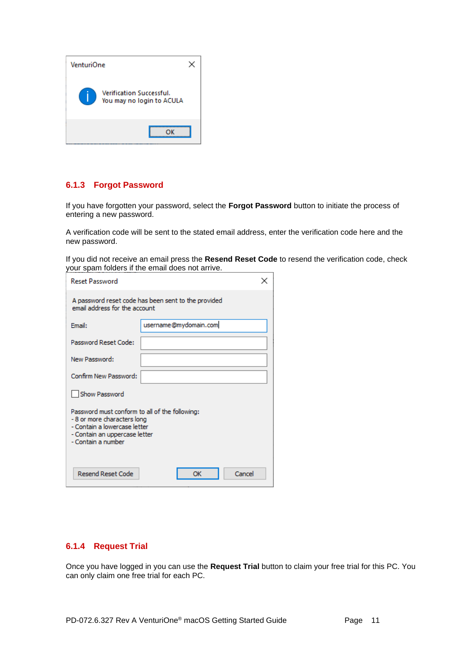| VenturiOne |                                                              |  |
|------------|--------------------------------------------------------------|--|
|            | <b>Verification Successful.</b><br>You may no login to ACULA |  |
|            |                                                              |  |

#### **6.1.3 Forgot Password**

If you have forgotten your password, select the **Forgot Password** button to initiate the process of entering a new password.

A verification code will be sent to the stated email address, enter the verification code here and the new password.

If you did not receive an email press the **Resend Reset Code** to resend the verification code, check your spam folders if the email does not arrive.

| <b>Reset Password</b>                                                                                                                                               |                       |  |  |  |  |  |  |  |  |  |
|---------------------------------------------------------------------------------------------------------------------------------------------------------------------|-----------------------|--|--|--|--|--|--|--|--|--|
| A password reset code has been sent to the provided<br>email address for the account                                                                                |                       |  |  |  |  |  |  |  |  |  |
| Email:                                                                                                                                                              | username@mydomain.com |  |  |  |  |  |  |  |  |  |
| Password Reset Code:                                                                                                                                                |                       |  |  |  |  |  |  |  |  |  |
| New Password:                                                                                                                                                       |                       |  |  |  |  |  |  |  |  |  |
| Confirm New Password:                                                                                                                                               |                       |  |  |  |  |  |  |  |  |  |
| <b>Show Password</b>                                                                                                                                                |                       |  |  |  |  |  |  |  |  |  |
| Password must conform to all of the following:<br>-8 or more characters long<br>- Contain a lowercase letter<br>- Contain an uppercase letter<br>- Contain a number |                       |  |  |  |  |  |  |  |  |  |
| <b>Resend Reset Code</b><br>Cancel<br>ОК                                                                                                                            |                       |  |  |  |  |  |  |  |  |  |

## **6.1.4 Request Trial**

Once you have logged in you can use the **Request Trial** button to claim your free trial for this PC. You can only claim one free trial for each PC.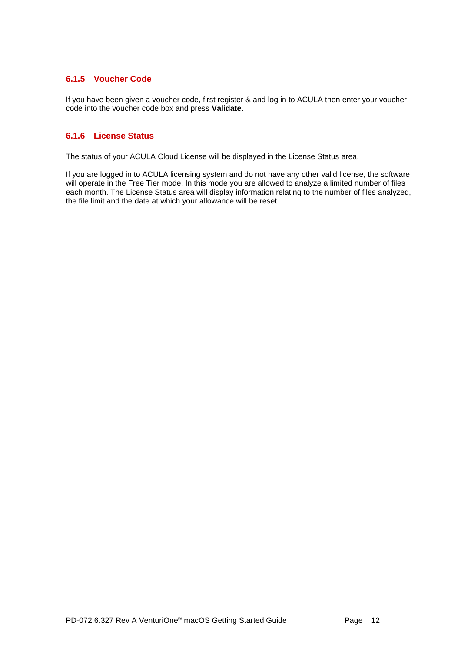#### **6.1.5 Voucher Code**

If you have been given a voucher code, first register & and log in to ACULA then enter your voucher code into the voucher code box and press **Validate**.

#### **6.1.6 License Status**

The status of your ACULA Cloud License will be displayed in the License Status area.

If you are logged in to ACULA licensing system and do not have any other valid license, the software will operate in the Free Tier mode. In this mode you are allowed to analyze a limited number of files each month. The License Status area will display information relating to the number of files analyzed, the file limit and the date at which your allowance will be reset.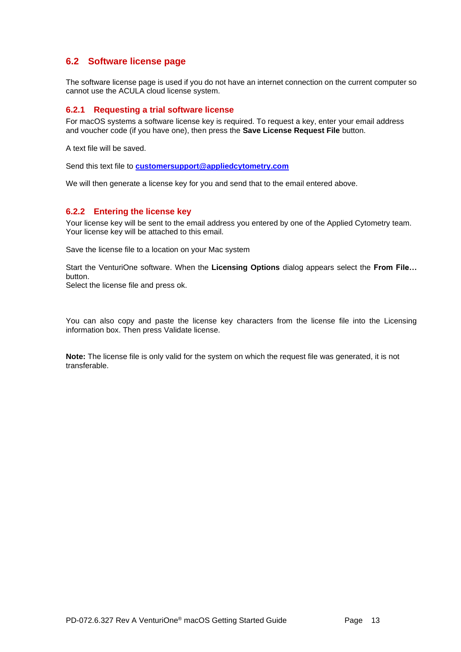## <span id="page-13-0"></span>**6.2 Software license page**

The software license page is used if you do not have an internet connection on the current computer so cannot use the ACULA cloud license system.

#### **6.2.1 Requesting a trial software license**

For macOS systems a software license key is required. To request a key, enter your email address and voucher code (if you have one), then press the **Save License Request File** button.

A text file will be saved.

Send this text file to **[customersupport@appliedcytometry.com](mailto:customersupport@appliedcytometry.com)**

We will then generate a license key for you and send that to the email entered above.

#### **6.2.2 Entering the license key**

Your license key will be sent to the email address you entered by one of the Applied Cytometry team. Your license key will be attached to this email.

Save the license file to a location on your Mac system

Start the VenturiOne software. When the **Licensing Options** dialog appears select the **From File…** button.

Select the license file and press ok.

You can also copy and paste the license key characters from the license file into the Licensing information box. Then press Validate license.

**Note:** The license file is only valid for the system on which the request file was generated, it is not transferable.